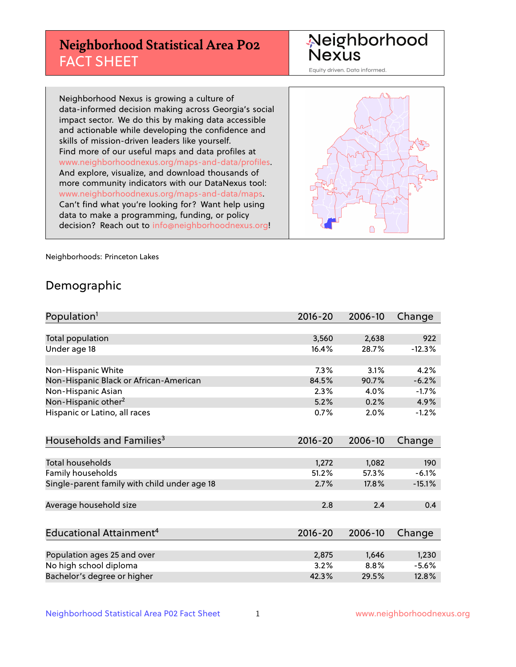# **Neighborhood Statistical Area P02** FACT SHEET

Neighborhood Nexus

Equity driven. Data informed.

Neighborhood Nexus is growing a culture of data-informed decision making across Georgia's social impact sector. We do this by making data accessible and actionable while developing the confidence and skills of mission-driven leaders like yourself. Find more of our useful maps and data profiles at www.neighborhoodnexus.org/maps-and-data/profiles. And explore, visualize, and download thousands of more community indicators with our DataNexus tool: www.neighborhoodnexus.org/maps-and-data/maps. Can't find what you're looking for? Want help using data to make a programming, funding, or policy decision? Reach out to [info@neighborhoodnexus.org!](mailto:info@neighborhoodnexus.org)



Neighborhoods: Princeton Lakes

### Demographic

| Population <sup>1</sup>                      | $2016 - 20$ | 2006-10 | Change   |
|----------------------------------------------|-------------|---------|----------|
|                                              |             |         |          |
| Total population                             | 3,560       | 2,638   | 922      |
| Under age 18                                 | 16.4%       | 28.7%   | $-12.3%$ |
|                                              |             |         |          |
| Non-Hispanic White                           | 7.3%        | 3.1%    | 4.2%     |
| Non-Hispanic Black or African-American       | 84.5%       | 90.7%   | $-6.2%$  |
| Non-Hispanic Asian                           | 2.3%        | 4.0%    | $-1.7%$  |
| Non-Hispanic other <sup>2</sup>              | 5.2%        | 0.2%    | 4.9%     |
| Hispanic or Latino, all races                | 0.7%        | 2.0%    | $-1.2%$  |
|                                              |             |         |          |
| Households and Families <sup>3</sup>         | $2016 - 20$ | 2006-10 | Change   |
|                                              |             |         |          |
| <b>Total households</b>                      | 1,272       | 1,082   | 190      |
| Family households                            | 51.2%       | 57.3%   | $-6.1%$  |
| Single-parent family with child under age 18 | 2.7%        | 17.8%   | $-15.1%$ |
|                                              |             |         |          |
| Average household size                       | 2.8         | 2.4     | 0.4      |
|                                              |             |         |          |
| Educational Attainment <sup>4</sup>          | $2016 - 20$ | 2006-10 | Change   |
|                                              |             |         |          |
| Population ages 25 and over                  | 2,875       | 1,646   | 1,230    |
| No high school diploma                       | 3.2%        | 8.8%    | $-5.6%$  |
| Bachelor's degree or higher                  | 42.3%       | 29.5%   | 12.8%    |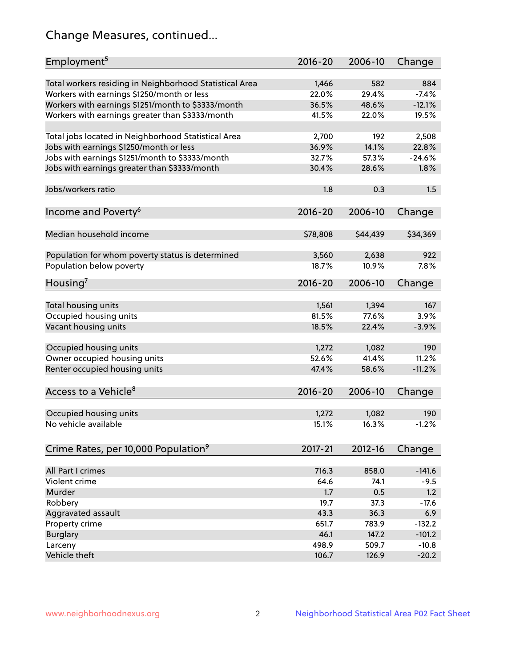# Change Measures, continued...

| Employment <sup>5</sup>                                 | $2016 - 20$ | 2006-10  | Change   |
|---------------------------------------------------------|-------------|----------|----------|
|                                                         |             |          |          |
| Total workers residing in Neighborhood Statistical Area | 1,466       | 582      | 884      |
| Workers with earnings \$1250/month or less              | 22.0%       | 29.4%    | $-7.4%$  |
| Workers with earnings \$1251/month to \$3333/month      | 36.5%       | 48.6%    | $-12.1%$ |
| Workers with earnings greater than \$3333/month         | 41.5%       | 22.0%    | 19.5%    |
| Total jobs located in Neighborhood Statistical Area     | 2,700       | 192      | 2,508    |
| Jobs with earnings \$1250/month or less                 | 36.9%       | 14.1%    | 22.8%    |
| Jobs with earnings \$1251/month to \$3333/month         | 32.7%       | 57.3%    | $-24.6%$ |
| Jobs with earnings greater than \$3333/month            | 30.4%       | 28.6%    | 1.8%     |
|                                                         |             |          |          |
| Jobs/workers ratio                                      | 1.8         | 0.3      | 1.5      |
|                                                         |             |          |          |
| Income and Poverty <sup>6</sup>                         | 2016-20     | 2006-10  | Change   |
| Median household income                                 | \$78,808    | \$44,439 | \$34,369 |
|                                                         |             |          |          |
| Population for whom poverty status is determined        | 3,560       | 2,638    | 922      |
| Population below poverty                                | 18.7%       | 10.9%    | 7.8%     |
|                                                         |             |          |          |
| Housing <sup>7</sup>                                    | $2016 - 20$ | 2006-10  | Change   |
|                                                         |             |          |          |
| Total housing units                                     | 1,561       | 1,394    | 167      |
| Occupied housing units                                  | 81.5%       | 77.6%    | 3.9%     |
| Vacant housing units                                    | 18.5%       | 22.4%    | $-3.9%$  |
| Occupied housing units                                  | 1,272       | 1,082    | 190      |
| Owner occupied housing units                            | 52.6%       | 41.4%    | 11.2%    |
|                                                         | 47.4%       | 58.6%    | $-11.2%$ |
| Renter occupied housing units                           |             |          |          |
| Access to a Vehicle <sup>8</sup>                        | $2016 - 20$ | 2006-10  | Change   |
|                                                         |             |          |          |
| Occupied housing units                                  | 1,272       | 1,082    | 190      |
| No vehicle available                                    | 15.1%       | 16.3%    | $-1.2%$  |
|                                                         |             |          |          |
| Crime Rates, per 10,000 Population <sup>9</sup>         | 2017-21     | 2012-16  | Change   |
|                                                         |             |          |          |
| All Part I crimes                                       | 716.3       | 858.0    | $-141.6$ |
| Violent crime                                           | 64.6        | 74.1     | $-9.5$   |
| Murder                                                  | 1.7         | 0.5      | 1.2      |
| Robbery                                                 | 19.7        | 37.3     | $-17.6$  |
| Aggravated assault                                      | 43.3        | 36.3     | 6.9      |
| Property crime                                          | 651.7       | 783.9    | $-132.2$ |
| <b>Burglary</b>                                         | 46.1        | 147.2    | $-101.2$ |
| Larceny                                                 | 498.9       | 509.7    | $-10.8$  |
| Vehicle theft                                           | 106.7       | 126.9    | $-20.2$  |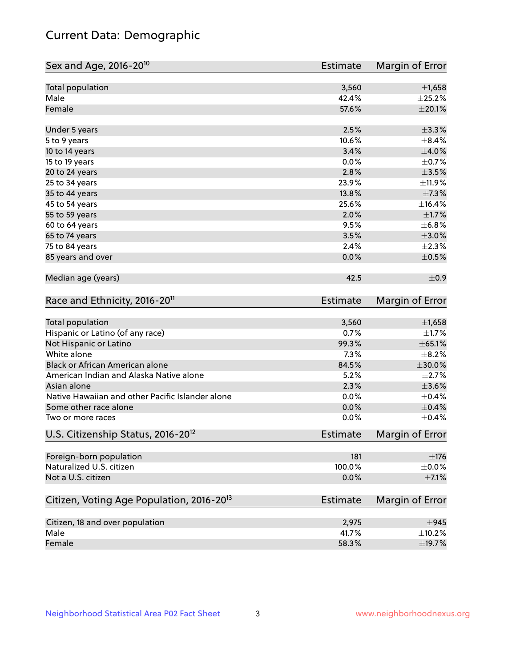# Current Data: Demographic

| Sex and Age, 2016-20 <sup>10</sup>                    | <b>Estimate</b> | Margin of Error |
|-------------------------------------------------------|-----------------|-----------------|
| Total population                                      | 3,560           | $\pm$ 1,658     |
| Male                                                  | 42.4%           | $\pm 25.2\%$    |
| Female                                                | 57.6%           | $\pm 20.1\%$    |
| Under 5 years                                         | 2.5%            | ±3.3%           |
| 5 to 9 years                                          | 10.6%           | $\pm$ 8.4%      |
| 10 to 14 years                                        | 3.4%            | $\pm 4.0\%$     |
| 15 to 19 years                                        | 0.0%            | $\pm$ 0.7%      |
| 20 to 24 years                                        | 2.8%            | $\pm$ 3.5%      |
| 25 to 34 years                                        | 23.9%           | ±11.9%          |
| 35 to 44 years                                        | 13.8%           | $\pm$ 7.3%      |
| 45 to 54 years                                        | 25.6%           | ±16.4%          |
| 55 to 59 years                                        | 2.0%            | $\pm1.7\%$      |
| 60 to 64 years                                        | 9.5%            | ±6.8%           |
| 65 to 74 years                                        | 3.5%            | $\pm 3.0\%$     |
| 75 to 84 years                                        | 2.4%            | $\pm 2.3\%$     |
| 85 years and over                                     | 0.0%            | $\pm$ 0.5%      |
| Median age (years)                                    | 42.5            | $\pm$ 0.9       |
| Race and Ethnicity, 2016-20 <sup>11</sup>             | <b>Estimate</b> | Margin of Error |
| Total population                                      | 3,560           | $\pm$ 1,658     |
| Hispanic or Latino (of any race)                      | 0.7%            | $\pm 1.7\%$     |
| Not Hispanic or Latino                                | 99.3%           | ± 65.1%         |
| White alone                                           | 7.3%            | $\pm$ 8.2%      |
| Black or African American alone                       | 84.5%           | $\pm 30.0\%$    |
| American Indian and Alaska Native alone               | 5.2%            | $\pm 2.7\%$     |
| Asian alone                                           | 2.3%            | $\pm 3.6\%$     |
| Native Hawaiian and other Pacific Islander alone      | 0.0%            | $\pm$ 0.4%      |
| Some other race alone                                 | 0.0%            | $\pm$ 0.4%      |
| Two or more races                                     | 0.0%            | $\pm$ 0.4%      |
| U.S. Citizenship Status, 2016-20 <sup>12</sup>        | Estimate        | Margin of Error |
| Foreign-born population                               | 181             | $\pm$ 176       |
| Naturalized U.S. citizen                              | 100.0%          | $\pm$ 0.0%      |
| Not a U.S. citizen                                    | 0.0%            | $\pm$ 7.1%      |
| Citizen, Voting Age Population, 2016-20 <sup>13</sup> | <b>Estimate</b> | Margin of Error |
| Citizen, 18 and over population                       | 2,975           | $\pm$ 945       |
| Male                                                  | 41.7%           | $\pm$ 10.2%     |
| Female                                                | 58.3%           | ±19.7%          |
|                                                       |                 |                 |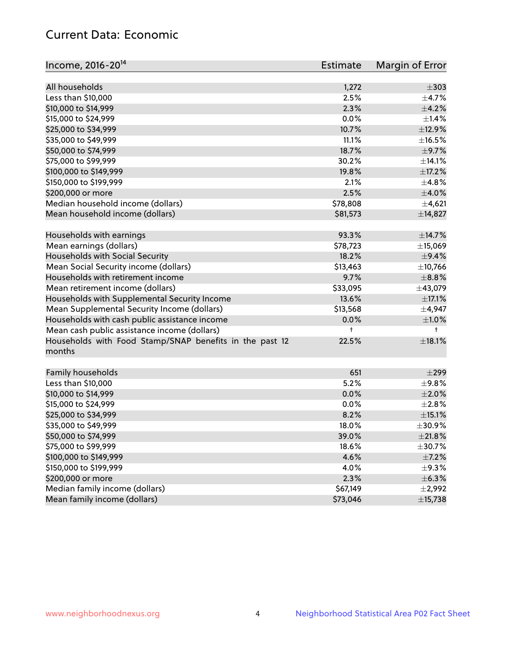# Current Data: Economic

| Income, 2016-20 <sup>14</sup>                                     | Estimate   | Margin of Error |
|-------------------------------------------------------------------|------------|-----------------|
|                                                                   |            |                 |
| All households                                                    | 1,272      | $\pm$ 303       |
| Less than \$10,000                                                | 2.5%       | $\pm$ 4.7%      |
| \$10,000 to \$14,999                                              | 2.3%       | $\pm$ 4.2%      |
| \$15,000 to \$24,999                                              | 0.0%       | ±1.4%           |
| \$25,000 to \$34,999                                              | 10.7%      | ±12.9%          |
| \$35,000 to \$49,999                                              | 11.1%      | $\pm$ 16.5%     |
| \$50,000 to \$74,999                                              | 18.7%      | $\pm$ 9.7%      |
| \$75,000 to \$99,999                                              | 30.2%      | ±14.1%          |
| \$100,000 to \$149,999                                            | 19.8%      | ±17.2%          |
| \$150,000 to \$199,999                                            | 2.1%       | $\pm$ 4.8%      |
| \$200,000 or more                                                 | 2.5%       | $\pm$ 4.0%      |
| Median household income (dollars)                                 | \$78,808   | $\pm$ 4,621     |
| Mean household income (dollars)                                   | \$81,573   | ±14,827         |
| Households with earnings                                          | 93.3%      | ±14.7%          |
| Mean earnings (dollars)                                           | \$78,723   | ±15,069         |
| Households with Social Security                                   | 18.2%      | $\pm$ 9.4%      |
| Mean Social Security income (dollars)                             | \$13,463   | ±10,766         |
| Households with retirement income                                 | 9.7%       | $\pm$ 8.8%      |
| Mean retirement income (dollars)                                  | \$33,095   | ±43,079         |
| Households with Supplemental Security Income                      | 13.6%      | $\pm$ 17.1%     |
| Mean Supplemental Security Income (dollars)                       | \$13,568   | $\pm$ 4,947     |
| Households with cash public assistance income                     | 0.0%       | $\pm1.0\%$      |
| Mean cash public assistance income (dollars)                      | $\ddagger$ | $\ddagger$      |
| Households with Food Stamp/SNAP benefits in the past 12<br>months | 22.5%      | $\pm$ 18.1%     |
| Family households                                                 | 651        | $\pm$ 299       |
| Less than \$10,000                                                | 5.2%       | $\pm$ 9.8%      |
| \$10,000 to \$14,999                                              | 0.0%       | ±2.0%           |
| \$15,000 to \$24,999                                              | 0.0%       | ±2.8%           |
| \$25,000 to \$34,999                                              | 8.2%       | $\pm$ 15.1%     |
| \$35,000 to \$49,999                                              | 18.0%      | ±30.9%          |
| \$50,000 to \$74,999                                              | 39.0%      | ±21.8%          |
| \$75,000 to \$99,999                                              | 18.6%      | ±30.7%          |
| \$100,000 to \$149,999                                            | 4.6%       | $\pm$ 7.2%      |
| \$150,000 to \$199,999                                            | 4.0%       | $\pm$ 9.3%      |
| \$200,000 or more                                                 | 2.3%       | ±6.3%           |
| Median family income (dollars)                                    | \$67,149   | ±2,992          |
| Mean family income (dollars)                                      | \$73,046   | ±15,738         |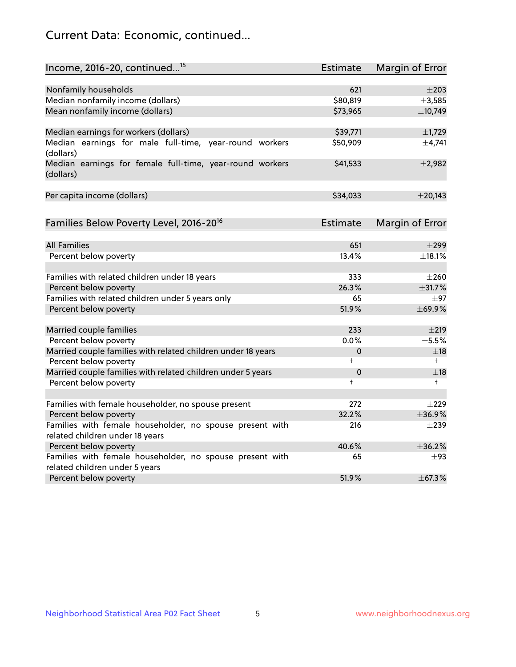# Current Data: Economic, continued...

| Income, 2016-20, continued <sup>15</sup>                              | <b>Estimate</b> | <b>Margin of Error</b> |
|-----------------------------------------------------------------------|-----------------|------------------------|
|                                                                       |                 |                        |
| Nonfamily households<br>Median nonfamily income (dollars)             | 621<br>\$80,819 | $\pm 203$<br>±3,585    |
| Mean nonfamily income (dollars)                                       | \$73,965        | ±10,749                |
|                                                                       |                 |                        |
| Median earnings for workers (dollars)                                 | \$39,771        | ±1,729                 |
| Median earnings for male full-time, year-round workers<br>(dollars)   | \$50,909        | ±4,741                 |
| Median earnings for female full-time, year-round workers<br>(dollars) | \$41,533        | ±2,982                 |
| Per capita income (dollars)                                           | \$34,033        | $±$ 20,143             |
| Families Below Poverty Level, 2016-20 <sup>16</sup>                   | Estimate        | <b>Margin of Error</b> |
|                                                                       |                 |                        |
| <b>All Families</b>                                                   | 651             | $\pm$ 299              |
| Percent below poverty                                                 | 13.4%           | ±18.1%                 |
| Families with related children under 18 years                         | 333             | $\pm 260$              |
| Percent below poverty                                                 | 26.3%           | ±31.7%                 |
| Families with related children under 5 years only                     | 65              | $\pm$ 97               |
| Percent below poverty                                                 | 51.9%           | ±69.9%                 |
| Married couple families                                               | 233             | $\pm 219$              |
| Percent below poverty                                                 | 0.0%            | $\pm$ 5.5%             |
| Married couple families with related children under 18 years          | 0               | $\pm$ 18               |
| Percent below poverty                                                 | $\ddagger$      | $^{+}$                 |
| Married couple families with related children under 5 years           | $\mathbf 0$     | $\pm$ 18               |
| Percent below poverty                                                 | $\ddagger$      | $\ddagger$             |
| Families with female householder, no spouse present                   | 272             | $\pm 229$              |
| Percent below poverty                                                 | 32.2%           | ±36.9%                 |
| Families with female householder, no spouse present with              | 216             | $\pm 239$              |
| related children under 18 years                                       |                 |                        |
| Percent below poverty                                                 | 40.6%           | ±36.2%                 |
| Families with female householder, no spouse present with              | 65              | $\pm$ 93               |
| related children under 5 years                                        |                 |                        |
| Percent below poverty                                                 | 51.9%           | ±67.3%                 |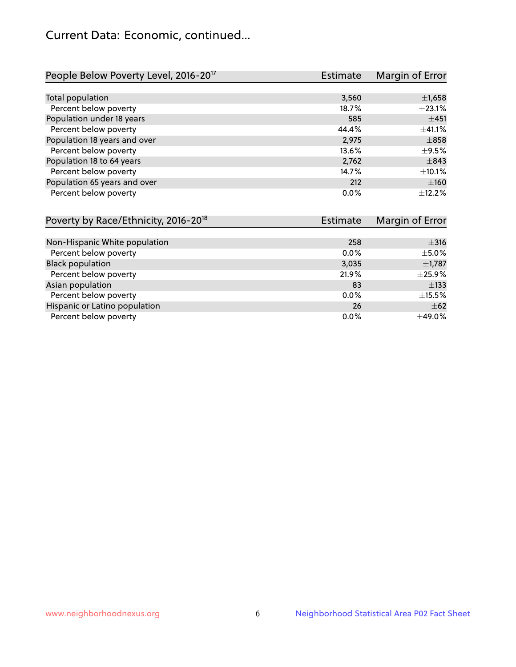# Current Data: Economic, continued...

| People Below Poverty Level, 2016-20 <sup>17</sup> | <b>Estimate</b> | Margin of Error |
|---------------------------------------------------|-----------------|-----------------|
|                                                   |                 |                 |
| Total population                                  | 3,560           | $\pm$ 1,658     |
| Percent below poverty                             | 18.7%           | ±23.1%          |
| Population under 18 years                         | 585             | ±451            |
| Percent below poverty                             | 44.4%           | ±41.1%          |
| Population 18 years and over                      | 2,975           | $\pm$ 858       |
| Percent below poverty                             | 13.6%           | $\pm$ 9.5%      |
| Population 18 to 64 years                         | 2,762           | $\pm$ 843       |
| Percent below poverty                             | 14.7%           | $\pm$ 10.1%     |
| Population 65 years and over                      | 212             | ±160            |
| Percent below poverty                             | $0.0\%$         | $+12.2%$        |

| Poverty by Race/Ethnicity, 2016-20 <sup>18</sup> | <b>Estimate</b> | Margin of Error |
|--------------------------------------------------|-----------------|-----------------|
|                                                  |                 |                 |
| Non-Hispanic White population                    | 258             | $\pm$ 316       |
| Percent below poverty                            | $0.0\%$         | $\pm$ 5.0%      |
| <b>Black population</b>                          | 3,035           | $\pm$ 1,787     |
| Percent below poverty                            | 21.9%           | $\pm$ 25.9%     |
| Asian population                                 | 83              | $\pm$ 133       |
| Percent below poverty                            | $0.0\%$         | $\pm$ 15.5%     |
| Hispanic or Latino population                    | 26              | $\pm 62$        |
| Percent below poverty                            | $0.0\%$         | ±49.0%          |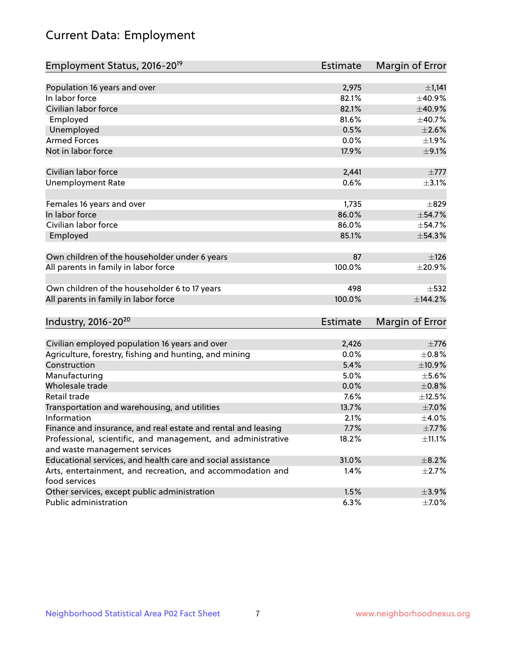# Current Data: Employment

| Employment Status, 2016-20 <sup>19</sup>                                    | <b>Estimate</b> | Margin of Error |
|-----------------------------------------------------------------------------|-----------------|-----------------|
|                                                                             |                 |                 |
| Population 16 years and over                                                | 2,975           | ±1,141          |
| In labor force                                                              | 82.1%           | ±40.9%          |
| Civilian labor force                                                        | 82.1%           | $\pm$ 40.9%     |
| Employed                                                                    | 81.6%           | ±40.7%          |
| Unemployed                                                                  | 0.5%            | $\pm 2.6\%$     |
| <b>Armed Forces</b>                                                         | 0.0%            | ±1.9%           |
| Not in labor force                                                          | 17.9%           | $\pm$ 9.1%      |
| Civilian labor force                                                        | 2,441           | $\pm 777$       |
| <b>Unemployment Rate</b>                                                    | 0.6%            | $\pm$ 3.1%      |
| Females 16 years and over                                                   | 1,735           | $\pm$ 829       |
| In labor force                                                              | 86.0%           | ±54.7%          |
| Civilian labor force                                                        | 86.0%           | ±54.7%          |
| Employed                                                                    | 85.1%           | ±54.3%          |
| Own children of the householder under 6 years                               | 87              | ±126            |
| All parents in family in labor force                                        | 100.0%          | $\pm 20.9\%$    |
| Own children of the householder 6 to 17 years                               | 498             | $\pm$ 532       |
| All parents in family in labor force                                        | 100.0%          | ±144.2%         |
| Industry, 2016-20 <sup>20</sup>                                             | <b>Estimate</b> | Margin of Error |
|                                                                             |                 |                 |
| Civilian employed population 16 years and over                              | 2,426           | $\pm 776$       |
| Agriculture, forestry, fishing and hunting, and mining                      | 0.0%            | $\pm$ 0.8%      |
| Construction                                                                | 5.4%            | ±10.9%          |
| Manufacturing                                                               | 5.0%            | $\pm$ 5.6%      |
| Wholesale trade                                                             | 0.0%            | $\pm 0.8\%$     |
| Retail trade                                                                | 7.6%            | $\pm$ 12.5%     |
| Transportation and warehousing, and utilities                               | 13.7%           | $\pm$ 7.0%      |
| Information                                                                 | 2.1%            | $\pm$ 4.0%      |
| Finance and insurance, and real estate and rental and leasing               | 7.7%            | $\pm$ 7.7%      |
| Professional, scientific, and management, and administrative                | 18.2%           | $\pm$ 11.1%     |
| and waste management services                                               |                 |                 |
| Educational services, and health care and social assistance                 | 31.0%           | $\pm$ 8.2%      |
| Arts, entertainment, and recreation, and accommodation and<br>food services | 1.4%            | $\pm 2.7\%$     |
| Other services, except public administration                                | 1.5%            | $\pm$ 3.9%      |
| Public administration                                                       | 6.3%            | $\pm$ 7.0%      |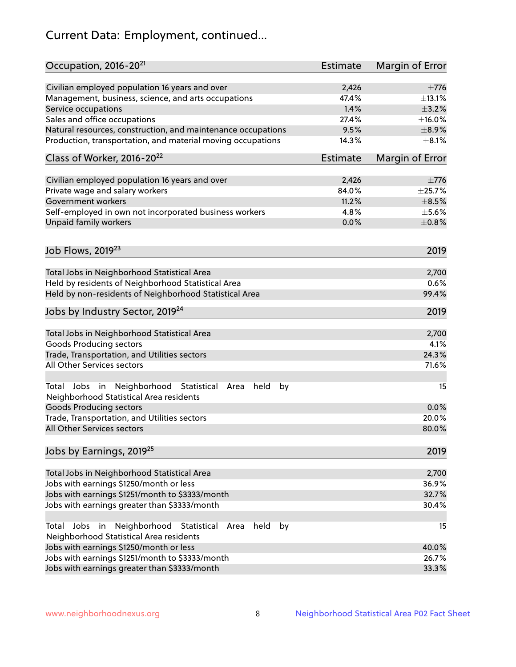# Current Data: Employment, continued...

| Occupation, 2016-20 <sup>21</sup>                                                                       | <b>Estimate</b> | Margin of Error |
|---------------------------------------------------------------------------------------------------------|-----------------|-----------------|
| Civilian employed population 16 years and over                                                          | 2,426           | $\pm 776$       |
| Management, business, science, and arts occupations                                                     | 47.4%           | ±13.1%          |
| Service occupations                                                                                     | 1.4%            | $\pm$ 3.2%      |
| Sales and office occupations                                                                            | 27.4%           | $\pm$ 16.0%     |
| Natural resources, construction, and maintenance occupations                                            | 9.5%            | $\pm$ 8.9%      |
| Production, transportation, and material moving occupations                                             | 14.3%           | $\pm$ 8.1%      |
| Class of Worker, 2016-20 <sup>22</sup>                                                                  | <b>Estimate</b> | Margin of Error |
| Civilian employed population 16 years and over                                                          | 2,426           | $\pm 776$       |
| Private wage and salary workers                                                                         | 84.0%           | ±25.7%          |
| Government workers                                                                                      | 11.2%           | $\pm$ 8.5%      |
| Self-employed in own not incorporated business workers                                                  | 4.8%            | $\pm$ 5.6%      |
| Unpaid family workers                                                                                   | 0.0%            | $\pm 0.8\%$     |
|                                                                                                         |                 |                 |
| Job Flows, 2019 <sup>23</sup>                                                                           |                 | 2019            |
| Total Jobs in Neighborhood Statistical Area                                                             |                 | 2,700           |
| Held by residents of Neighborhood Statistical Area                                                      |                 | 0.6%            |
| Held by non-residents of Neighborhood Statistical Area                                                  |                 | 99.4%           |
| Jobs by Industry Sector, 2019 <sup>24</sup>                                                             |                 | 2019            |
| Total Jobs in Neighborhood Statistical Area                                                             |                 | 2,700           |
| <b>Goods Producing sectors</b>                                                                          |                 | 4.1%            |
| Trade, Transportation, and Utilities sectors                                                            |                 | 24.3%           |
| All Other Services sectors                                                                              |                 | 71.6%           |
| Total Jobs in Neighborhood Statistical<br>held<br>by<br>Area<br>Neighborhood Statistical Area residents |                 | 15              |
| <b>Goods Producing sectors</b>                                                                          |                 | 0.0%            |
| Trade, Transportation, and Utilities sectors                                                            |                 | 20.0%           |
| All Other Services sectors                                                                              |                 | 80.0%           |
| Jobs by Earnings, 2019 <sup>25</sup>                                                                    |                 | 2019            |
| Total Jobs in Neighborhood Statistical Area                                                             |                 | 2,700           |
| Jobs with earnings \$1250/month or less                                                                 |                 | 36.9%           |
| Jobs with earnings \$1251/month to \$3333/month                                                         |                 | 32.7%           |
| Jobs with earnings greater than \$3333/month                                                            |                 | 30.4%           |
| Neighborhood Statistical<br>Jobs<br>in<br>Area<br>held<br>by<br>Total                                   |                 | 15              |
| Neighborhood Statistical Area residents                                                                 |                 |                 |
| Jobs with earnings \$1250/month or less                                                                 |                 | 40.0%           |
| Jobs with earnings \$1251/month to \$3333/month                                                         |                 | 26.7%           |
| Jobs with earnings greater than \$3333/month                                                            |                 | 33.3%           |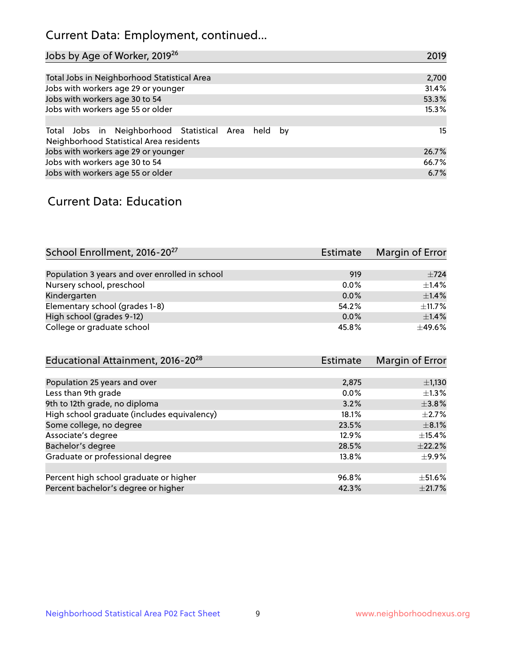# Current Data: Employment, continued...

| Jobs by Age of Worker, 2019 <sup>26</sup>                                                      | 2019  |
|------------------------------------------------------------------------------------------------|-------|
|                                                                                                |       |
| Total Jobs in Neighborhood Statistical Area                                                    | 2,700 |
| Jobs with workers age 29 or younger                                                            | 31.4% |
| Jobs with workers age 30 to 54                                                                 | 53.3% |
| Jobs with workers age 55 or older                                                              | 15.3% |
|                                                                                                |       |
| Total Jobs in Neighborhood Statistical Area held by<br>Neighborhood Statistical Area residents | 15    |
| Jobs with workers age 29 or younger                                                            | 26.7% |
| Jobs with workers age 30 to 54                                                                 | 66.7% |
| Jobs with workers age 55 or older                                                              | 6.7%  |

### Current Data: Education

| School Enrollment, 2016-20 <sup>27</sup>       | <b>Estimate</b> | Margin of Error |
|------------------------------------------------|-----------------|-----------------|
|                                                |                 |                 |
| Population 3 years and over enrolled in school | 919             | $\pm 724$       |
| Nursery school, preschool                      | $0.0\%$         | $+1.4%$         |
| Kindergarten                                   | $0.0\%$         | ±1.4%           |
| Elementary school (grades 1-8)                 | 54.2%           | $+11.7%$        |
| High school (grades 9-12)                      | 0.0%            | ±1.4%           |
| College or graduate school                     | 45.8%           | $\pm$ 49.6%     |

| <b>Estimate</b> | Margin of Error |
|-----------------|-----------------|
|                 |                 |
| 2,875           | $\pm$ 1,130     |
| $0.0\%$         | $\pm 1.3\%$     |
| 3.2%            | $\pm$ 3.8%      |
| 18.1%           | $+2.7%$         |
| 23.5%           | $\pm$ 8.1%      |
| 12.9%           | $\pm$ 15.4%     |
| 28.5%           | $\pm$ 22.2%     |
| 13.8%           | $\pm$ 9.9%      |
|                 |                 |
| 96.8%           | $\pm$ 51.6%     |
| 42.3%           | $\pm 21.7\%$    |
|                 |                 |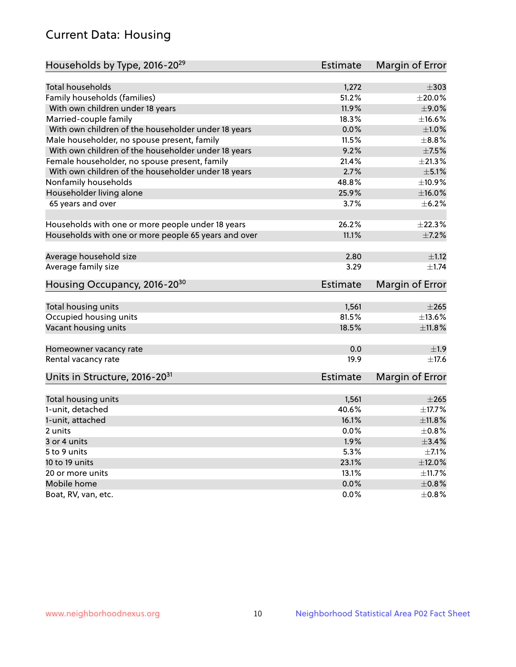# Current Data: Housing

| Households by Type, 2016-20 <sup>29</sup>            | <b>Estimate</b> | Margin of Error |
|------------------------------------------------------|-----------------|-----------------|
|                                                      |                 |                 |
| <b>Total households</b>                              | 1,272           | $\pm$ 303       |
| Family households (families)                         | 51.2%           | $\pm 20.0\%$    |
| With own children under 18 years                     | 11.9%           | $\pm$ 9.0%      |
| Married-couple family                                | 18.3%           | ±16.6%          |
| With own children of the householder under 18 years  | 0.0%            | $\pm1.0\%$      |
| Male householder, no spouse present, family          | 11.5%           | $\pm$ 8.8%      |
| With own children of the householder under 18 years  | 9.2%            | $\pm$ 7.5%      |
| Female householder, no spouse present, family        | 21.4%           | $\pm 21.3\%$    |
| With own children of the householder under 18 years  | 2.7%            | $\pm$ 5.1%      |
| Nonfamily households                                 | 48.8%           | $\pm$ 10.9%     |
| Householder living alone                             | 25.9%           | $\pm$ 16.0%     |
| 65 years and over                                    | $3.7\%$         | $\pm$ 6.2%      |
|                                                      |                 |                 |
| Households with one or more people under 18 years    | 26.2%           | ±22.3%          |
| Households with one or more people 65 years and over | 11.1%           | $\pm$ 7.2%      |
|                                                      |                 |                 |
| Average household size                               | 2.80            | $\pm 1.12$      |
| Average family size                                  | 3.29            | $\pm 1.74$      |
| Housing Occupancy, 2016-20 <sup>30</sup>             | <b>Estimate</b> | Margin of Error |
|                                                      |                 |                 |
| Total housing units                                  | 1,561           | $\pm 265$       |
| Occupied housing units                               | 81.5%           | ±13.6%          |
| Vacant housing units                                 | 18.5%           | $\pm$ 11.8%     |
| Homeowner vacancy rate                               | 0.0             | ±1.9            |
| Rental vacancy rate                                  | 19.9            | ±17.6           |
|                                                      |                 |                 |
| Units in Structure, 2016-20 <sup>31</sup>            | <b>Estimate</b> | Margin of Error |
| Total housing units                                  | 1,561           | $\pm 265$       |
| 1-unit, detached                                     | 40.6%           | ±17.7%          |
| 1-unit, attached                                     | 16.1%           | ±11.8%          |
| 2 units                                              | 0.0%            | $\pm$ 0.8%      |
| 3 or 4 units                                         | 1.9%            | $\pm$ 3.4%      |
| 5 to 9 units                                         | 5.3%            | $\pm$ 7.1%      |
| 10 to 19 units                                       | 23.1%           | $\pm$ 12.0%     |
| 20 or more units                                     | 13.1%           | ±11.7%          |
| Mobile home                                          | 0.0%            | $\pm 0.8\%$     |
| Boat, RV, van, etc.                                  | $0.0\%$         | $\pm$ 0.8%      |
|                                                      |                 |                 |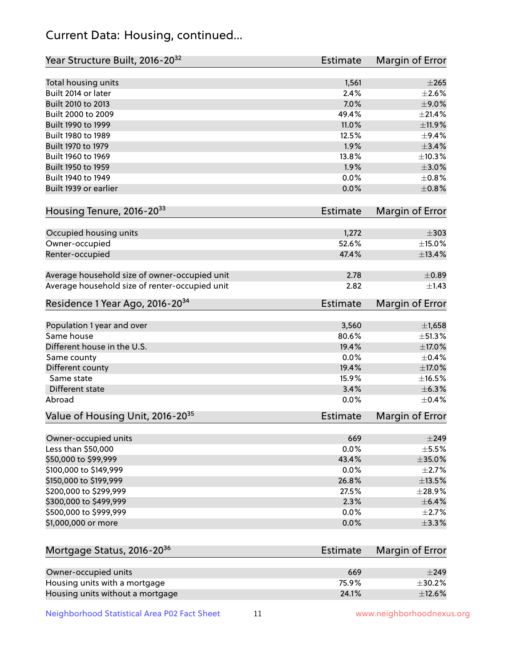# Current Data: Housing, continued...

| Year Structure Built, 2016-20 <sup>32</sup>    | <b>Estimate</b> | Margin of Error |
|------------------------------------------------|-----------------|-----------------|
| Total housing units                            | 1,561           | $\pm 265$       |
| Built 2014 or later                            | 2.4%            | $\pm 2.6\%$     |
| Built 2010 to 2013                             | 7.0%            | ±9.0%           |
| Built 2000 to 2009                             | 49.4%           | $\pm 21.4\%$    |
| Built 1990 to 1999                             | 11.0%           | ±11.9%          |
| Built 1980 to 1989                             | 12.5%           | $\pm$ 9.4%      |
| Built 1970 to 1979                             | 1.9%            | $\pm$ 3.4%      |
| Built 1960 to 1969                             | 13.8%           | ±10.3%          |
| Built 1950 to 1959                             | 1.9%            | $\pm 3.0\%$     |
| Built 1940 to 1949                             | 0.0%            | $\pm 0.8\%$     |
| Built 1939 or earlier                          | 0.0%            | $\pm 0.8\%$     |
| Housing Tenure, 2016-2033                      | <b>Estimate</b> | Margin of Error |
| Occupied housing units                         | 1,272           | $\pm$ 303       |
| Owner-occupied                                 | 52.6%           | ±15.0%          |
| Renter-occupied                                | 47.4%           | ±13.4%          |
| Average household size of owner-occupied unit  | 2.78            | $\pm$ 0.89      |
| Average household size of renter-occupied unit | 2.82            | $\pm$ 1.43      |
| Residence 1 Year Ago, 2016-20 <sup>34</sup>    | <b>Estimate</b> | Margin of Error |
|                                                |                 |                 |
| Population 1 year and over                     | 3,560           | $\pm$ 1,658     |
| Same house                                     | 80.6%           | ±51.3%          |
| Different house in the U.S.                    | 19.4%           | ±17.0%          |
| Same county                                    | 0.0%            | $\pm$ 0.4%      |
| Different county                               | 19.4%           | ±17.0%          |
| Same state                                     | 15.9%           | $\pm$ 16.5%     |
| Different state                                | 3.4%            | ±6.3%           |
| Abroad                                         | 0.0%            | $\pm$ 0.4%      |
| Value of Housing Unit, 2016-20 <sup>35</sup>   | <b>Estimate</b> | Margin of Error |
| Owner-occupied units                           | 669             | $\pm 249$       |
| Less than \$50,000                             | 0.0%            | $\pm$ 5.5%      |
| \$50,000 to \$99,999                           | 43.4%           | $\pm$ 35.0%     |
| \$100,000 to \$149,999                         | 0.0%            | $\pm 2.7\%$     |
| \$150,000 to \$199,999                         | 26.8%           | $\pm$ 13.5%     |
| \$200,000 to \$299,999                         | 27.5%           | ±28.9%          |
| \$300,000 to \$499,999                         | 2.3%            | $\pm$ 6.4%      |
| \$500,000 to \$999,999                         | 0.0%            | $\pm 2.7\%$     |
| \$1,000,000 or more                            | 0.0%            | $\pm$ 3.3%      |
| Mortgage Status, 2016-20 <sup>36</sup>         | <b>Estimate</b> | Margin of Error |
| Owner-occupied units                           | 669             | $\pm$ 249       |
| Housing units with a mortgage                  | 75.9%           | $\pm$ 30.2%     |
| Housing units without a mortgage               | 24.1%           | ±12.6%          |
|                                                |                 |                 |

Neighborhood Statistical Area P02 Fact Sheet 11 11 www.neighborhoodnexus.org

Housing units without a mortgage 24.1%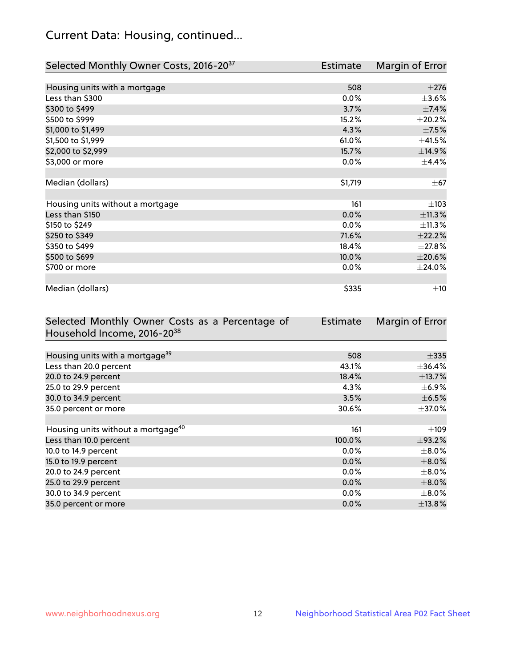# Current Data: Housing, continued...

| Selected Monthly Owner Costs, 2016-20 <sup>37</sup> | <b>Estimate</b> | Margin of Error |
|-----------------------------------------------------|-----------------|-----------------|
|                                                     |                 |                 |
| Housing units with a mortgage                       | 508             | $\pm 276$       |
| Less than \$300                                     | 0.0%            | $\pm 3.6\%$     |
| \$300 to \$499                                      | 3.7%            | $\pm$ 7.4%      |
| \$500 to \$999                                      | 15.2%           | $\pm 20.2\%$    |
| \$1,000 to \$1,499                                  | 4.3%            | $\pm$ 7.5%      |
| \$1,500 to \$1,999                                  | 61.0%           | ±41.5%          |
| \$2,000 to \$2,999                                  | 15.7%           | ±14.9%          |
| \$3,000 or more                                     | 0.0%            | $\pm$ 4.4%      |
|                                                     |                 |                 |
| Median (dollars)                                    | \$1,719         | $\pm$ 67        |
|                                                     |                 |                 |
| Housing units without a mortgage                    | 161             | $\pm$ 103       |
| Less than \$150                                     | 0.0%            | ±11.3%          |
| \$150 to \$249                                      | 0.0%            | ±11.3%          |
| \$250 to \$349                                      | 71.6%           | ±22.2%          |
| \$350 to \$499                                      | 18.4%           | ±27.8%          |
| \$500 to \$699                                      | 10.0%           | $\pm 20.6\%$    |
| \$700 or more                                       | 0.0%            | ±24.0%          |
|                                                     |                 |                 |
| Median (dollars)                                    | \$335           | $\pm 10$        |

| Selected Monthly Owner Costs as a Percentage of | <b>Estimate</b> | Margin of Error |
|-------------------------------------------------|-----------------|-----------------|
| Household Income, 2016-20 <sup>38</sup>         |                 |                 |
|                                                 |                 |                 |
| Housing units with a mortgage <sup>39</sup>     | 508             | $\pm$ 335       |
| Less than 20.0 percent                          | 43.1%           | $\pm$ 36.4%     |
| 20.0 to 24.9 percent                            | 18.4%           | ±13.7%          |
| 25.0 to 29.9 percent                            | 4.3%            | $\pm$ 6.9%      |
| 30.0 to 34.9 percent                            | 3.5%            | $\pm$ 6.5%      |
| 35.0 percent or more                            | 30.6%           | $\pm$ 37.0%     |
|                                                 |                 |                 |
| Housing units without a mortgage <sup>40</sup>  | 161             | $\pm 109$       |
| Less than 10.0 percent                          | 100.0%          | ±93.2%          |
| 10.0 to 14.9 percent                            | $0.0\%$         | $\pm$ 8.0%      |
| 15.0 to 19.9 percent                            | 0.0%            | $\pm 8.0\%$     |
| 20.0 to 24.9 percent                            | $0.0\%$         | $\pm$ 8.0%      |
| 25.0 to 29.9 percent                            | 0.0%            | $\pm$ 8.0%      |
| 30.0 to 34.9 percent                            | $0.0\%$         | $\pm$ 8.0%      |
| 35.0 percent or more                            | 0.0%            | $\pm$ 13.8%     |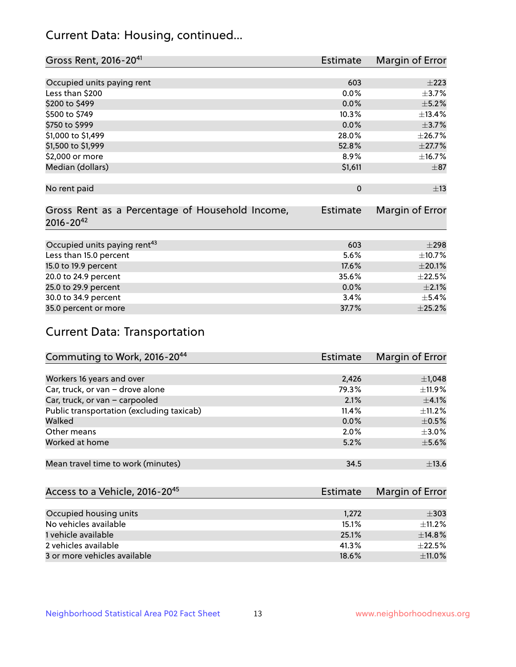# Current Data: Housing, continued...

| Gross Rent, 2016-20 <sup>41</sup>                                   | <b>Estimate</b> | Margin of Error |
|---------------------------------------------------------------------|-----------------|-----------------|
|                                                                     |                 |                 |
| Occupied units paying rent                                          | 603             | $\pm 223$       |
| Less than \$200                                                     | $0.0\%$         | $\pm$ 3.7%      |
| \$200 to \$499                                                      | 0.0%            | $\pm$ 5.2%      |
| \$500 to \$749                                                      | 10.3%           | ±13.4%          |
| \$750 to \$999                                                      | 0.0%            | $\pm$ 3.7%      |
| \$1,000 to \$1,499                                                  | 28.0%           | ±26.7%          |
| \$1,500 to \$1,999                                                  | 52.8%           | $\pm 27.7\%$    |
| \$2,000 or more                                                     | 8.9%            | ±16.7%          |
| Median (dollars)                                                    | \$1,611         | $\pm$ 87        |
|                                                                     |                 |                 |
| No rent paid                                                        | $\Omega$        | ±13             |
|                                                                     |                 |                 |
| Gross Rent as a Percentage of Household Income,<br>$2016 - 20^{42}$ | <b>Estimate</b> | Margin of Error |
|                                                                     |                 |                 |
| Occupied units paying rent <sup>43</sup>                            | 603             | $\pm 298$       |
| Less than 15.0 percent                                              | 5.6%            | $\pm$ 10.7%     |
| 15.0 to 19.9 percent                                                | 17.6%           | $\pm 20.1\%$    |
| 20.0 to 24.9 percent                                                | 35.6%           | $\pm 22.5\%$    |
| 25.0 to 29.9 percent                                                | 0.0%            | $\pm 2.1\%$     |
| 30.0 to 34.9 percent                                                | 3.4%            | $\pm$ 5.4%      |
| 35.0 percent or more                                                | 37.7%           | $\pm 25.2\%$    |

# Current Data: Transportation

| Commuting to Work, 2016-20 <sup>44</sup>  | <b>Estimate</b> | Margin of Error |
|-------------------------------------------|-----------------|-----------------|
|                                           |                 |                 |
| Workers 16 years and over                 | 2,426           | $\pm$ 1,048     |
| Car, truck, or van - drove alone          | 79.3%           | $\pm$ 11.9%     |
| Car, truck, or van - carpooled            | 2.1%            | $\pm$ 4.1%      |
| Public transportation (excluding taxicab) | 11.4%           | $\pm$ 11.2%     |
| Walked                                    | 0.0%            | $\pm$ 0.5%      |
| Other means                               | 2.0%            | $\pm$ 3.0%      |
| Worked at home                            | 5.2%            | $\pm$ 5.6%      |
|                                           |                 |                 |
| Mean travel time to work (minutes)        | 34.5            | ±13.6           |

| Access to a Vehicle, 2016-20 <sup>45</sup> | Estimate | Margin of Error |
|--------------------------------------------|----------|-----------------|
|                                            |          |                 |
| Occupied housing units                     | 1,272    | $\pm$ 303       |
| No vehicles available                      | 15.1%    | $+11.2%$        |
| 1 vehicle available                        | 25.1%    | ±14.8%          |
| 2 vehicles available                       | 41.3%    | $+22.5%$        |
| 3 or more vehicles available               | 18.6%    | $+11.0%$        |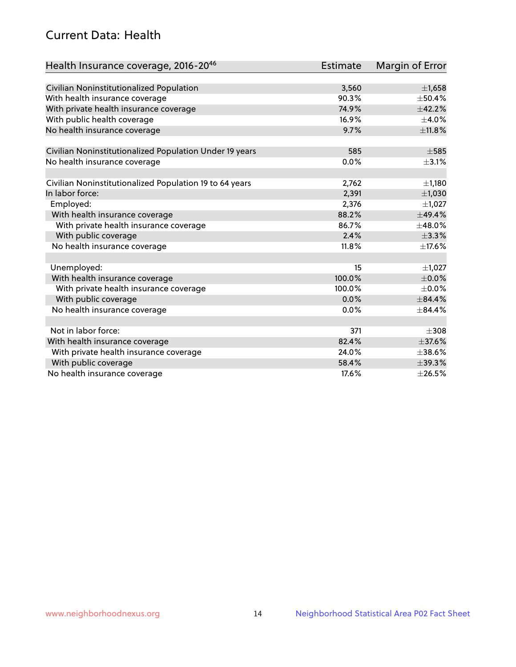# Current Data: Health

| Health Insurance coverage, 2016-2046                    | Estimate | Margin of Error |
|---------------------------------------------------------|----------|-----------------|
|                                                         |          |                 |
| Civilian Noninstitutionalized Population                | 3,560    | ±1,658          |
| With health insurance coverage                          | 90.3%    | $\pm$ 50.4%     |
| With private health insurance coverage                  | 74.9%    | ±42.2%          |
| With public health coverage                             | 16.9%    | $\pm$ 4.0%      |
| No health insurance coverage                            | 9.7%     | $\pm$ 11.8%     |
|                                                         |          |                 |
| Civilian Noninstitutionalized Population Under 19 years | 585      | $\pm$ 585       |
| No health insurance coverage                            | 0.0%     | $\pm$ 3.1%      |
| Civilian Noninstitutionalized Population 19 to 64 years | 2,762    | ±1,180          |
| In labor force:                                         | 2,391    | ±1,030          |
| Employed:                                               | 2,376    | $\pm$ 1,027     |
| With health insurance coverage                          | 88.2%    | ±49.4%          |
| With private health insurance coverage                  | 86.7%    | ±48.0%          |
| With public coverage                                    | 2.4%     | ±3.3%           |
| No health insurance coverage                            | 11.8%    | ±17.6%          |
|                                                         |          |                 |
| Unemployed:                                             | 15       | $\pm$ 1,027     |
| With health insurance coverage                          | 100.0%   | $\pm$ 0.0%      |
| With private health insurance coverage                  | 100.0%   | $\pm$ 0.0%      |
| With public coverage                                    | 0.0%     | $\pm$ 84.4%     |
| No health insurance coverage                            | 0.0%     | $\pm$ 84.4%     |
|                                                         |          |                 |
| Not in labor force:                                     | 371      | $\pm 308$       |
| With health insurance coverage                          | 82.4%    | $\pm$ 37.6%     |
| With private health insurance coverage                  | 24.0%    | $\pm$ 38.6%     |
| With public coverage                                    | 58.4%    | $\pm$ 39.3%     |
| No health insurance coverage                            | 17.6%    | $\pm 26.5\%$    |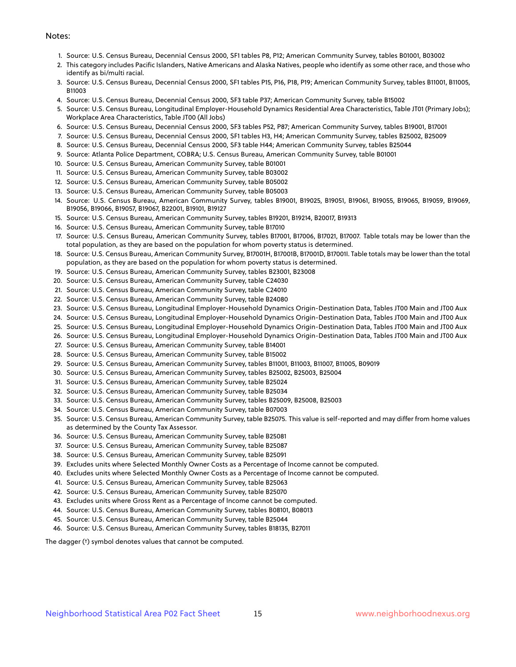#### Notes:

- 1. Source: U.S. Census Bureau, Decennial Census 2000, SF1 tables P8, P12; American Community Survey, tables B01001, B03002
- 2. This category includes Pacific Islanders, Native Americans and Alaska Natives, people who identify as some other race, and those who identify as bi/multi racial.
- 3. Source: U.S. Census Bureau, Decennial Census 2000, SF1 tables P15, P16, P18, P19; American Community Survey, tables B11001, B11005, B11003
- 4. Source: U.S. Census Bureau, Decennial Census 2000, SF3 table P37; American Community Survey, table B15002
- 5. Source: U.S. Census Bureau, Longitudinal Employer-Household Dynamics Residential Area Characteristics, Table JT01 (Primary Jobs); Workplace Area Characteristics, Table JT00 (All Jobs)
- 6. Source: U.S. Census Bureau, Decennial Census 2000, SF3 tables P52, P87; American Community Survey, tables B19001, B17001
- 7. Source: U.S. Census Bureau, Decennial Census 2000, SF1 tables H3, H4; American Community Survey, tables B25002, B25009
- 8. Source: U.S. Census Bureau, Decennial Census 2000, SF3 table H44; American Community Survey, tables B25044
- 9. Source: Atlanta Police Department, COBRA; U.S. Census Bureau, American Community Survey, table B01001
- 10. Source: U.S. Census Bureau, American Community Survey, table B01001
- 11. Source: U.S. Census Bureau, American Community Survey, table B03002
- 12. Source: U.S. Census Bureau, American Community Survey, table B05002
- 13. Source: U.S. Census Bureau, American Community Survey, table B05003
- 14. Source: U.S. Census Bureau, American Community Survey, tables B19001, B19025, B19051, B19061, B19055, B19065, B19059, B19069, B19056, B19066, B19057, B19067, B22001, B19101, B19127
- 15. Source: U.S. Census Bureau, American Community Survey, tables B19201, B19214, B20017, B19313
- 16. Source: U.S. Census Bureau, American Community Survey, table B17010
- 17. Source: U.S. Census Bureau, American Community Survey, tables B17001, B17006, B17021, B17007. Table totals may be lower than the total population, as they are based on the population for whom poverty status is determined.
- 18. Source: U.S. Census Bureau, American Community Survey, B17001H, B17001B, B17001D, B17001I. Table totals may be lower than the total population, as they are based on the population for whom poverty status is determined.
- 19. Source: U.S. Census Bureau, American Community Survey, tables B23001, B23008
- 20. Source: U.S. Census Bureau, American Community Survey, table C24030
- 21. Source: U.S. Census Bureau, American Community Survey, table C24010
- 22. Source: U.S. Census Bureau, American Community Survey, table B24080
- 23. Source: U.S. Census Bureau, Longitudinal Employer-Household Dynamics Origin-Destination Data, Tables JT00 Main and JT00 Aux
- 24. Source: U.S. Census Bureau, Longitudinal Employer-Household Dynamics Origin-Destination Data, Tables JT00 Main and JT00 Aux
- 25. Source: U.S. Census Bureau, Longitudinal Employer-Household Dynamics Origin-Destination Data, Tables JT00 Main and JT00 Aux
- 26. Source: U.S. Census Bureau, Longitudinal Employer-Household Dynamics Origin-Destination Data, Tables JT00 Main and JT00 Aux
- 27. Source: U.S. Census Bureau, American Community Survey, table B14001
- 28. Source: U.S. Census Bureau, American Community Survey, table B15002
- 29. Source: U.S. Census Bureau, American Community Survey, tables B11001, B11003, B11007, B11005, B09019
- 30. Source: U.S. Census Bureau, American Community Survey, tables B25002, B25003, B25004
- 31. Source: U.S. Census Bureau, American Community Survey, table B25024
- 32. Source: U.S. Census Bureau, American Community Survey, table B25034
- 33. Source: U.S. Census Bureau, American Community Survey, tables B25009, B25008, B25003
- 34. Source: U.S. Census Bureau, American Community Survey, table B07003
- 35. Source: U.S. Census Bureau, American Community Survey, table B25075. This value is self-reported and may differ from home values as determined by the County Tax Assessor.
- 36. Source: U.S. Census Bureau, American Community Survey, table B25081
- 37. Source: U.S. Census Bureau, American Community Survey, table B25087
- 38. Source: U.S. Census Bureau, American Community Survey, table B25091
- 39. Excludes units where Selected Monthly Owner Costs as a Percentage of Income cannot be computed.
- 40. Excludes units where Selected Monthly Owner Costs as a Percentage of Income cannot be computed.
- 41. Source: U.S. Census Bureau, American Community Survey, table B25063
- 42. Source: U.S. Census Bureau, American Community Survey, table B25070
- 43. Excludes units where Gross Rent as a Percentage of Income cannot be computed.
- 44. Source: U.S. Census Bureau, American Community Survey, tables B08101, B08013
- 45. Source: U.S. Census Bureau, American Community Survey, table B25044
- 46. Source: U.S. Census Bureau, American Community Survey, tables B18135, B27011

The dagger (†) symbol denotes values that cannot be computed.